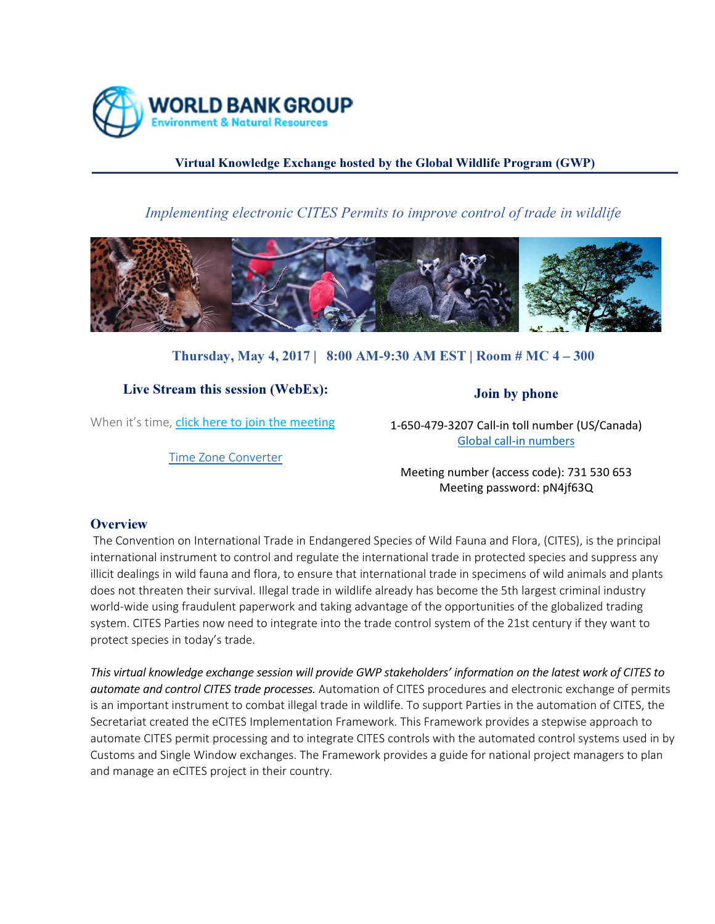

## Virtual Knowledge Exchange hosted by the Global Wildlife Program (GWP)

# Implementing electronic CITES Permits to improve control of trade in wildlife



## Thursday, May 4, 2017 | 8:00 AM-9:30 AM EST | Room # MC 4 – 300

## Live Stream this session (WebEx):

When it's time, click here to join the meeting

Time Zone Converter

1-650-479-3207 Call-in toll number (US/Canada) Global call-in numbers

Join by phone

Meeting number (access code): 731 530 653 Meeting password: pN4jf63Q

### **Overview**

 The Convention on International Trade in Endangered Species of Wild Fauna and Flora, (CITES), is the principal international instrument to control and regulate the international trade in protected species and suppress any illicit dealings in wild fauna and flora, to ensure that international trade in specimens of wild animals and plants does not threaten their survival. Illegal trade in wildlife already has become the 5th largest criminal industry world-wide using fraudulent paperwork and taking advantage of the opportunities of the globalized trading system. CITES Parties now need to integrate into the trade control system of the 21st century if they want to protect species in today's trade.

This virtual knowledge exchange session will provide GWP stakeholders' information on the latest work of CITES to automate and control CITES trade processes. Automation of CITES procedures and electronic exchange of permits is an important instrument to combat illegal trade in wildlife. To support Parties in the automation of CITES, the Secretariat created the eCITES Implementation Framework. This Framework provides a stepwise approach to automate CITES permit processing and to integrate CITES controls with the automated control systems used in by Customs and Single Window exchanges. The Framework provides a guide for national project managers to plan and manage an eCITES project in their country.